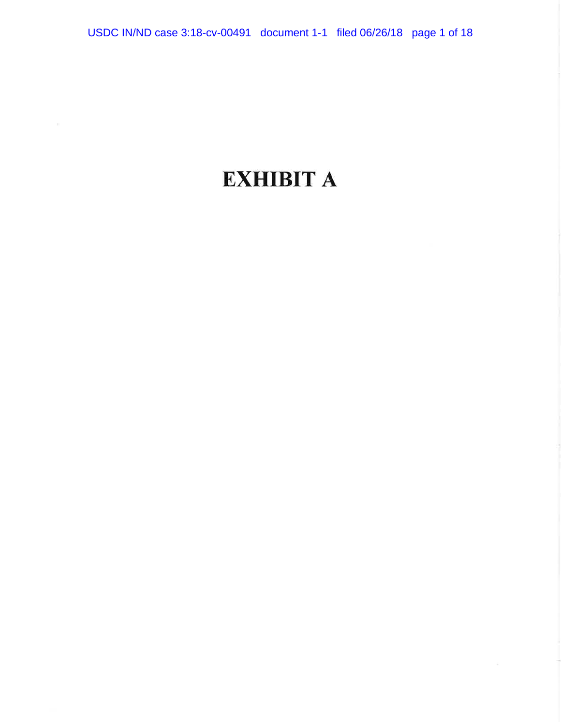## **EXHIBIT A**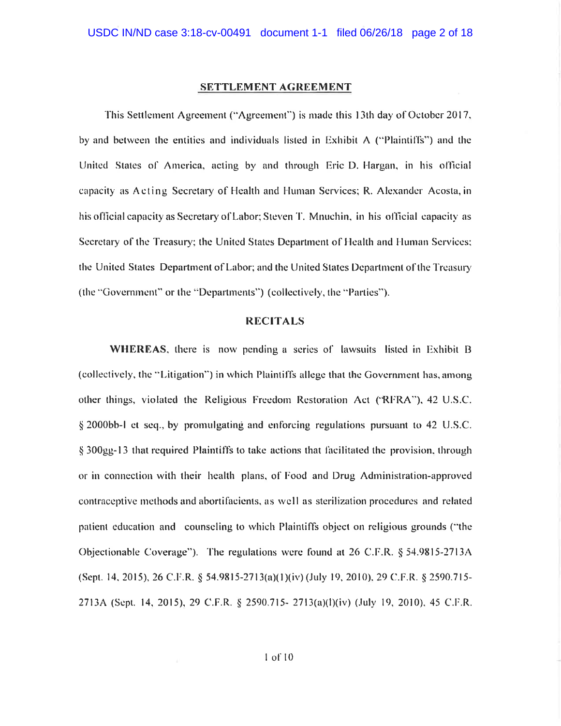#### **SETTLEMENT AGREEMENT**

This Settlement Agreement ("Agreement") is made this 13th day of October 2017, by and between the entities and individuals listed in Exhibit A ("Plaintiffs") and the United States of America, acting by and through Eric D. Hargan, in his official capacity as Acting Secretary of Health and Human Services; R. Alexander Acosta, in his official capacity as Secretary of Labor; Steven T. Mnuchin, in his official capacity as Secretary of the Treasury; the United States Department of Health and Human Services; the United States Department of Labor; and the United States Department of the Treasury (the "Government" or the "Departments") (collectively, the "Parties").

### **RECITALS**

WHEREAS, there is now pending a series of lawsuits listed in Exhibit B (collectively, the "Litigation") in which Plaintiffs allege that the Government has, among other things, violated the Religious Freedom Restoration Act ('RFRA''), 42 U.S.C. § 2000bb-1 et seq., by promulgating and enforcing regulations pursuant to 42 U.S.C. § 300gg-13 that required Plaintiffs to take actions that facilitated the provision, through or in connection with their health plans, of Food and Drug Administration-approved contraceptive methods and abortifacients, as well as sterilization procedures and related patient education and counseling to which Plaintiffs object on religious grounds ("the Objectionable Coverage"). The regulations were found at 26 C.F.R. § 54.9815-2713A (Sept. 14, 2015), 26 C.F.R. § 54.9815-2713(a)(1)(iv) (July 19, 2010), 29 C.F.R. § 2590.715-2713A (Sept. 14, 2015), 29 C.F.R. § 2590.715- 2713(a)(l)(iv) (July 19, 2010), 45 C.F.R.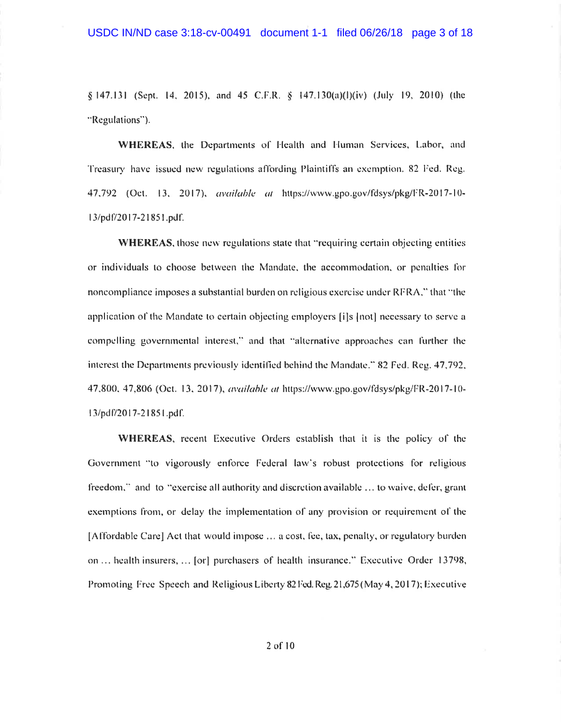§ 147.131 (Sept. 14, 2015), and 45 C.F.R. § 147.130(a)(l)(iv) (July 19, 2010) (the "Regulations").

WHEREAS, the Departments of Health and Human Services, Labor, and Treasury have issued new regulations affording Plaintiffs an exemption. 82 Fed. Reg. 47,792 (Oct. 13, 2017), *available at* https://www.gpo.gov/fdsys/pkg/FR-2017-10-13/pdf/2017-21851.pdf.

**WHEREAS**, those new regulations state that "requiring certain objecting entities" or individuals to choose between the Mandate, the accommodation, or penalties for noncompliance imposes a substantial burden on religious exercise under RFRA," that "the application of the Mandate to certain objecting employers [i]s [not] necessary to serve a compelling governmental interest," and that "alternative approaches can further the interest the Departments previously identified behind the Mandate," 82 Fed. Reg. 47,792, 47,800, 47,806 (Oct. 13, 2017), available at https://www.gpo.gov/fdsys/pkg/FR-2017-10-13/pdf/2017-21851.pdf.

WHEREAS, recent Executive Orders establish that it is the policy of the Government "to vigorously enforce Federal law's robust protections for religious freedom," and to "exercise all authority and discretion available ... to waive, defer, grant exemptions from, or delay the implementation of any provision or requirement of the [Affordable Care] Act that would impose ... a cost, fee, tax, penalty, or regulatory burden on ... health insurers, ... [or] purchasers of health insurance." Executive Order 13798, Promoting Free Speech and Religious Liberty 82 Fed. Reg. 21,675 (May 4, 2017); Executive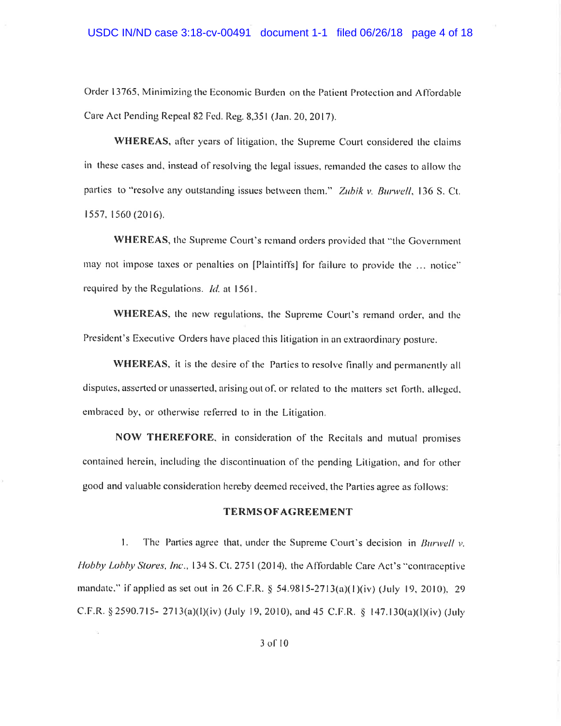Order 13765, Minimizing the Economic Burden on the Patient Protection and Affordable Care Act Pending Repeal 82 Fed. Reg. 8,351 (Jan. 20, 2017).

WHEREAS, after years of litigation, the Supreme Court considered the claims in these cases and, instead of resolving the legal issues, remanded the cases to allow the parties to "resolve any outstanding issues between them." Zubik v. Burwell, 136 S. Ct. 1557, 1560 (2016).

WHEREAS, the Supreme Court's remand orders provided that "the Government may not impose taxes or penalties on [Plaintiffs] for failure to provide the ... notice" required by the Regulations. *Id.* at 1561.

**WHEREAS**, the new regulations, the Supreme Court's remand order, and the President's Executive Orders have placed this litigation in an extraordinary posture.

**WHEREAS,** it is the desire of the Parties to resolve finally and permanently all disputes, asserted or unasserted, arising out of, or related to the matters set forth, alleged, embraced by, or otherwise referred to in the Litigation.

NOW THEREFORE, in consideration of the Recitals and mutual promises contained herein, including the discontinuation of the pending Litigation, and for other good and valuable consideration hereby deemed received, the Parties agree as follows:

### **TERMS OF AGREEMENT**

 $\mathbf{1}$ . The Parties agree that, under the Supreme Court's decision in *Burwell* y. Hobby Lobby Stores, Inc., 134 S. Ct. 2751 (2014), the Affordable Care Act's "contraceptive mandate." if applied as set out in 26 C.F.R. § 54.9815-2713(a)(1)(iv) (July 19, 2010), 29 C.F.R. § 2590.715- 2713(a)(l)(iv) (July 19, 2010), and 45 C.F.R. § 147.130(a)(l)(iv) (July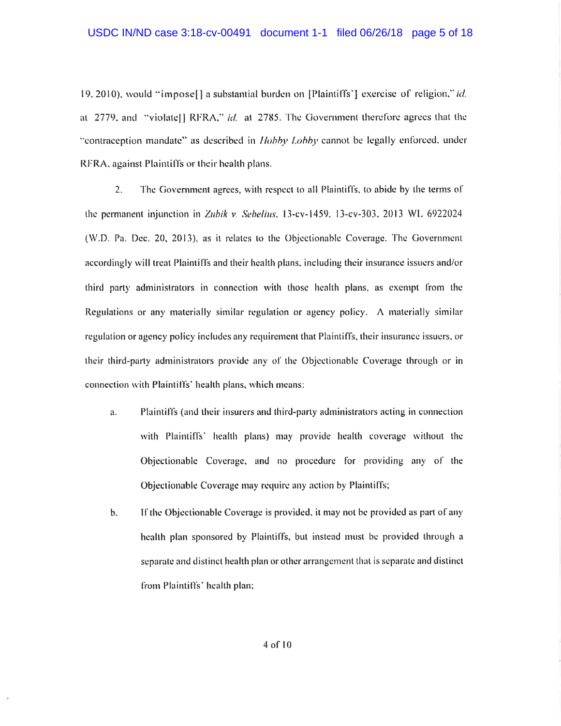19, 2010), would "impose [] a substantial burden on [Plaintiffs'] exercise of religion," id. at 2779, and "violatel] RFRA," id. at 2785. The Government therefore agrees that the "contraception mandate" as described in *Hobby Lobby* cannot be legally enforced, under RFRA, against Plaintiffs or their health plans.

 $2.$ The Government agrees, with respect to all Plaintiffs, to abide by the terms of the permanent injunction in Zubik v. Sebelius, 13-cv-1459, 13-cv-303, 2013 WL 6922024 (W.D. Pa. Dec. 20, 2013), as it relates to the Objectionable Coverage. The Government accordingly will treat Plaintiffs and their health plans, including their insurance issuers and/or third party administrators in connection with those health plans, as exempt from the Regulations or any materially similar regulation or agency policy. A materially similar regulation or agency policy includes any requirement that Plaintiffs, their insurance issuers, or their third-party administrators provide any of the Objectionable Coverage through or in connection with Plaintiffs' health plans, which means:

- a. Plaintiffs (and their insurers and third-party administrators acting in connection with Plaintiffs' health plans) may provide health coverage without the Objectionable Coverage, and no procedure for providing any of the Objectionable Coverage may require any action by Plaintiffs;
- If the Objectionable Coverage is provided, it may not be provided as part of any b. health plan sponsored by Plaintiffs, but instead must be provided through a separate and distinct health plan or other arrangement that is separate and distinct from Plaintiffs' health plan;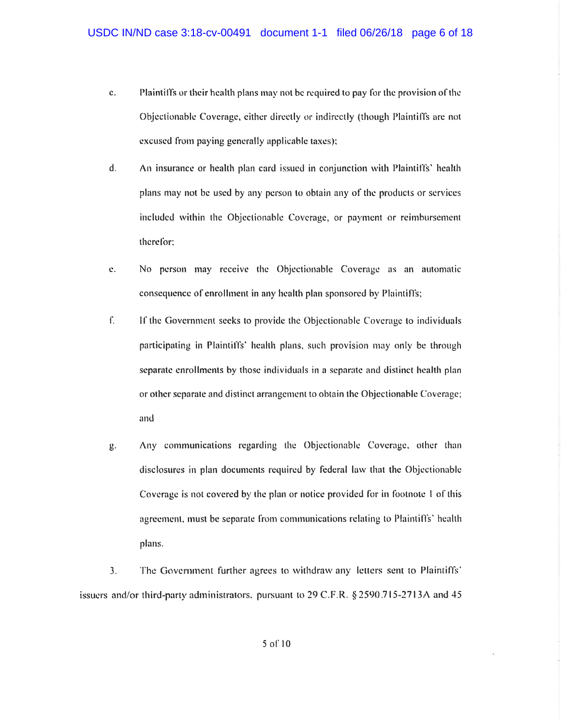- $\mathbf{c}$ . Plaintiffs or their health plans may not be required to pay for the provision of the Objectionable Coverage, either directly or indirectly (though Plaintiffs are not excused from paying generally applicable taxes);
- d. An insurance or health plan card issued in conjunction with Plaintiffs' health plans may not be used by any person to obtain any of the products or services included within the Objectionable Coverage, or payment or reimbursement therefor:
- No person may receive the Objectionable Coverage as an automatic e. consequence of enrollment in any health plan sponsored by Plaintiffs;
- $\int$ If the Government seeks to provide the Objectionable Coverage to individuals participating in Plaintiffs' health plans, such provision may only be through separate enrollments by those individuals in a separate and distinct health plan or other separate and distinct arrangement to obtain the Objectionable Coverage; and
- Any communications regarding the Objectionable Coverage, other than  $g.$ disclosures in plan documents required by federal law that the Objectionable Coverage is not covered by the plan or notice provided for in footnote 1 of this agreement, must be separate from communications relating to Plaintiffs' health plans.

3. The Government further agrees to withdraw any letters sent to Plaintiffs' issuers and/or third-party administrators, pursuant to  $29$  C.F.R. § 2590.715-2713A and 45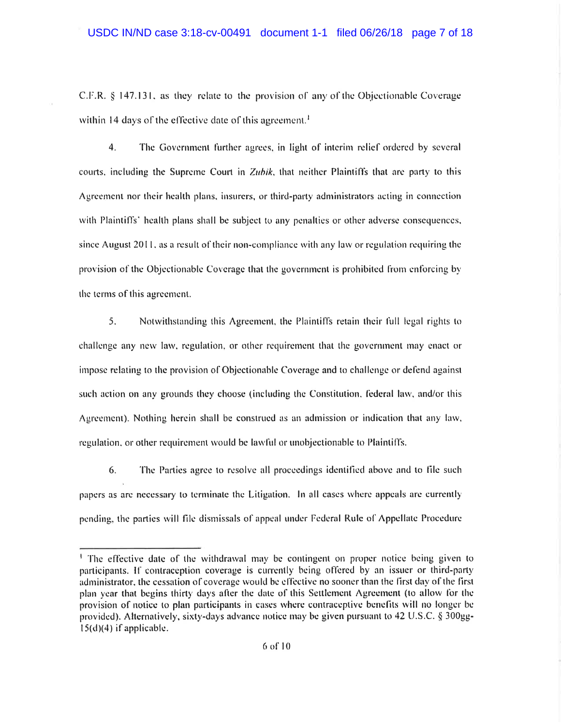C.F.R. § 147.131, as they relate to the provision of any of the Objectionable Coverage within 14 days of the effective date of this agreement.<sup>1</sup>

 $4.$ The Government further agrees, in light of interim relief ordered by several courts, including the Supreme Court in Zubik, that neither Plaintiffs that are party to this Agreement nor their health plans, insurers, or third-party administrators acting in connection with Plaintiffs' health plans shall be subject to any penalties or other adverse consequences, since August 2011, as a result of their non-compliance with any law or regulation requiring the provision of the Objectionable Coverage that the government is prohibited from enforcing by the terms of this agreement.

5. Notwithstanding this Agreement, the Plaintiffs retain their full legal rights to challenge any new law, regulation, or other requirement that the government may enact or impose relating to the provision of Objectionable Coverage and to challenge or defend against such action on any grounds they choose (including the Constitution, federal law, and/or this Agreement). Nothing herein shall be construed as an admission or indication that any law, regulation, or other requirement would be lawful or unobjectionable to Plaintiffs.

6. The Parties agree to resolve all proceedings identified above and to file such papers as are necessary to terminate the Litigation. In all cases where appeals are currently pending, the parties will file dismissals of appeal under Federal Rule of Appellate Procedure

<sup>&</sup>lt;sup>1</sup> The effective date of the withdrawal may be contingent on proper notice being given to participants. If contraception coverage is currently being offered by an issuer or third-party administrator, the cessation of coverage would be effective no sooner than the first day of the first plan year that begins thirty days after the date of this Settlement Agreement (to allow for the provision of notice to plan participants in cases where contraceptive benefits will no longer be provided). Alternatively, sixty-days advance notice may be given pursuant to 42 U.S.C. § 300gg- $15(d)(4)$  if applicable.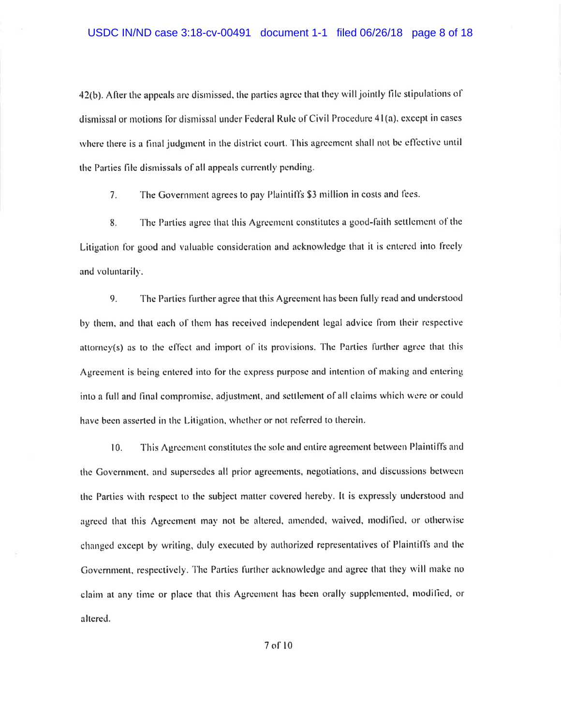42(b). After the appeals are dismissed, the parties agree that they will jointly file stipulations of dismissal or motions for dismissal under Federal Rule of Civil Procedure 41(a), except in cases where there is a final judgment in the district court. This agreement shall not be effective until the Parties file dismissals of all appeals currently pending.

The Government agrees to pay Plaintiffs \$3 million in costs and fees.  $7<sub>1</sub>$ 

The Parties agree that this Agreement constitutes a good-faith settlement of the 8. Litigation for good and valuable consideration and acknowledge that it is entered into freely and voluntarily.

9. The Parties further agree that this Agreement has been fully read and understood by them, and that each of them has received independent legal advice from their respective attorney(s) as to the effect and import of its provisions. The Parties further agree that this Agreement is being entered into for the express purpose and intention of making and entering into a full and final compromise, adjustment, and settlement of all claims which were or could have been asserted in the Litigation, whether or not referred to therein.

 $10.$ This Agreement constitutes the sole and entire agreement between Plaintiffs and the Government, and supersedes all prior agreements, negotiations, and discussions between the Parties with respect to the subject matter covered hereby. It is expressly understood and agreed that this Agreement may not be altered, amended, waived, modified, or otherwise changed except by writing, duly executed by authorized representatives of Plaintiffs and the Government, respectively. The Parties further acknowledge and agree that they will make no claim at any time or place that this Agreement has been orally supplemented, modified, or altered.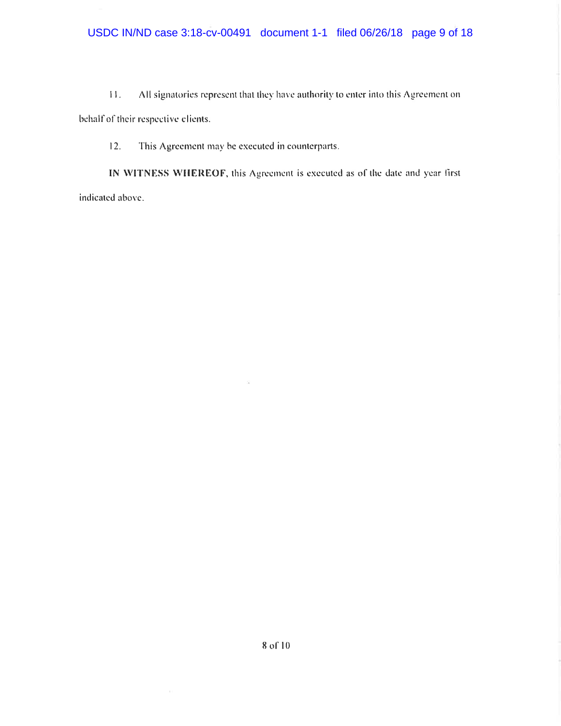All signatories represent that they have authority to enter into this Agreement on  $11.$ 

behalf of their respective clients.

 $12.$ This Agreement may be executed in counterparts.

IN WITNESS WHEREOF, this Agreement is executed as of the date and year first indicated above.

 $\widetilde{\mathcal{K}}$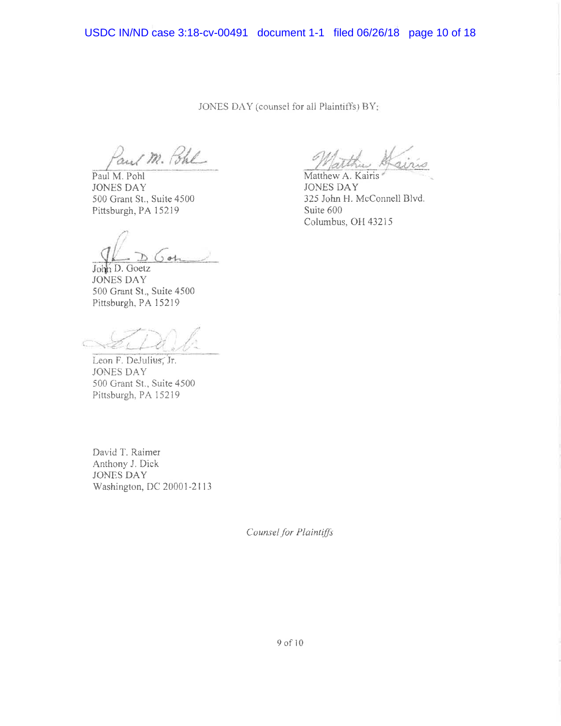USDC IN/ND case 3:18-cv-00491 document 1-1 filed 06/26/18 page 10 of 18

JONES DAY (counsel for all Plaintiffs) BY:

and M. Pohl

Paul M. Pohl **JONES DAY** 500 Grant St., Suite 4500 Pittsburgh, PA 15219

John D. Goetz **JONES DAY** 500 Grant St., Suite 4500 Pittsburgh, PA 15219

Leon F. DeJulius, Jr. **JONES DAY** 500 Grant St., Suite 4500 Pittsburgh, PA 15219

David T. Raimer Anthony J. Dick **JONES DAY** Washington, DC 20001-2113 Matthew A. Kairis

**JONES DAY** 325 John H. McConnell Blvd. Suite 600 Columbus, OH 43215

Counsel for Plaintiffs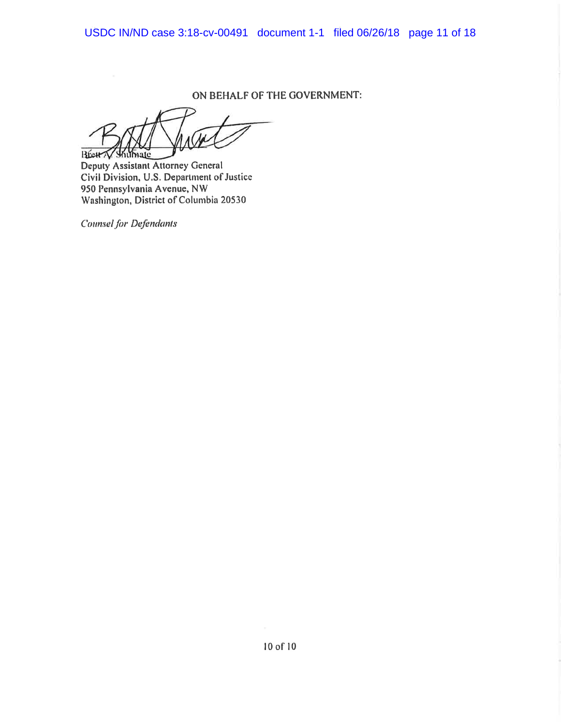USDC IN/ND case 3:18-cv-00491 document 1-1 filed 06/26/18 page 11 of 18

ON BEHALF OF THE GOVERNMENT:

Breat N. Shumate

Deputy Assistant Attorney General Civil Division, U.S. Department of Justice 950 Pennsylvania Avenue, NW Washington, District of Columbia 20530

**Counsel for Defendants**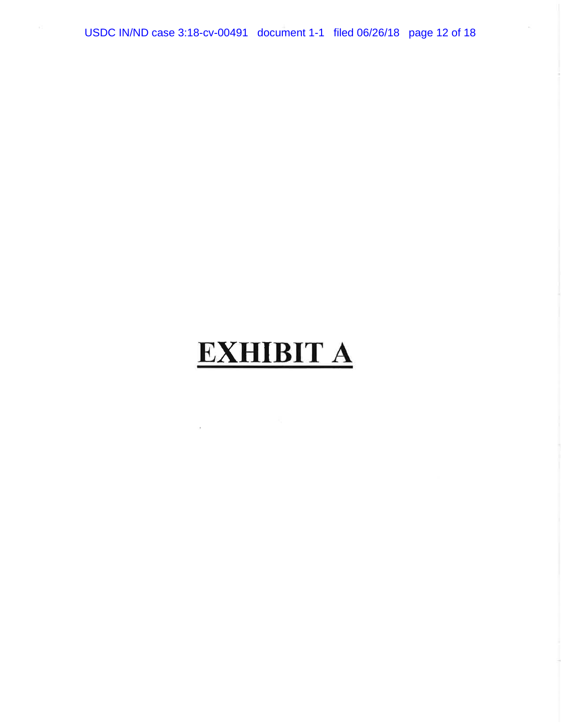USDC IN/ND case 3:18-cv-00491 document 1-1 filed 06/26/18 page 12 of 18

# **EXHIBIT A**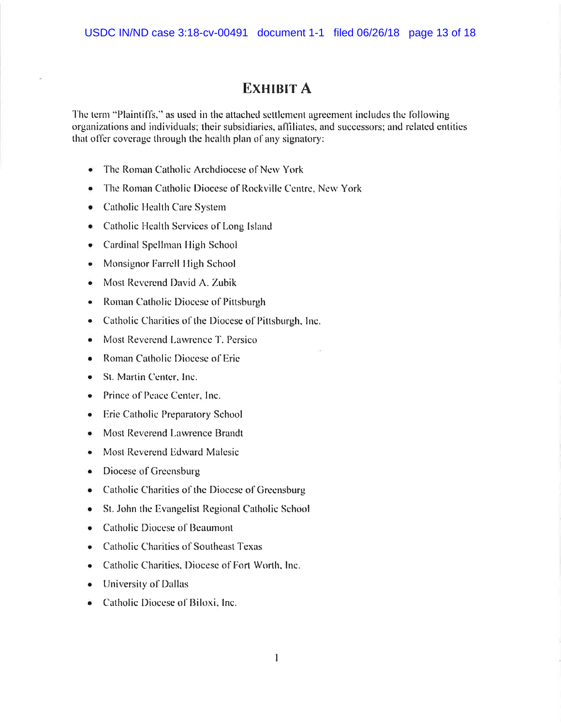### **EXHIBIT A**

The term "Plaintiffs," as used in the attached settlement agreement includes the following organizations and individuals; their subsidiaries, affiliates, and successors; and related entities that offer coverage through the health plan of any signatory:

- The Roman Catholic Archdiocese of New York
- The Roman Catholic Diocese of Rockville Centre, New York
- Catholic Health Care System
- Catholic Health Services of Long Island
- Cardinal Spellman High School
- Monsignor Farrell High School
- Most Reverend David A. Zubik
- Roman Catholic Diocese of Pittsburgh
- Catholic Charities of the Diocese of Pittsburgh, Inc.
- Most Reverend Lawrence T. Persico
- Roman Catholic Diocese of Erie
- St. Martin Center, Inc.
- Prince of Peace Center, Inc.
- Erie Catholic Preparatory School
- Most Reverend Lawrence Brandt
- Most Reverend Edward Malesic
- Diocese of Greensburg
- Catholic Charities of the Diocese of Greensburg
- St. John the Evangelist Regional Catholic School
- Catholic Diocese of Beaumont
- Catholic Charities of Southeast Texas
- Catholic Charities, Diocese of Fort Worth, Inc.
- University of Dallas
- Catholic Diocese of Biloxi, Inc.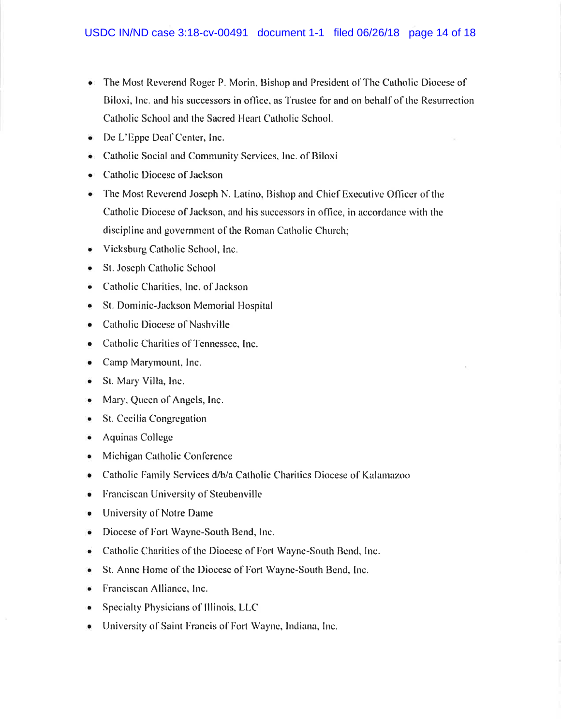- The Most Reverend Roger P. Morin, Bishop and President of The Catholic Diocese of Biloxi, Inc. and his successors in office, as Trustee for and on behalf of the Resurrection Catholic School and the Sacred Heart Catholic School.
- De L'Eppe Deaf Center, Inc.
- Catholic Social and Community Services, Inc. of Biloxi
- Catholic Diocese of Jackson
- The Most Reverend Joseph N. Latino, Bishop and Chief Executive Officer of the Catholic Diocese of Jackson, and his successors in office, in accordance with the discipline and government of the Roman Catholic Church;
- Vicksburg Catholic School, Inc.
- St. Joseph Catholic School
- Catholic Charities, Inc. of Jackson
- St. Dominic-Jackson Memorial Hospital
- Catholic Diocese of Nashville
- Catholic Charities of Tennessee, Inc.
- Camp Marymount, Inc.  $\bullet$
- St. Mary Villa, Inc.  $\bullet$
- Mary, Queen of Angels, Inc.  $\bullet$
- St. Cecilia Congregation
- $\bullet$  Aquinas College
- Michigan Catholic Conference
- Catholic Family Services d/b/a Catholic Charities Diocese of Kalamazoo
- Franciscan University of Steubenville
- University of Notre Dame
- Diocese of Fort Wayne-South Bend, Inc.
- Catholic Charities of the Diocese of Fort Wayne-South Bend, Inc.
- St. Anne Home of the Diocese of Fort Wayne-South Bend, Inc.
- Franciscan Alliance, Inc.
- Specialty Physicians of Illinois, LLC
- University of Saint Francis of Fort Wayne, Indiana, Inc.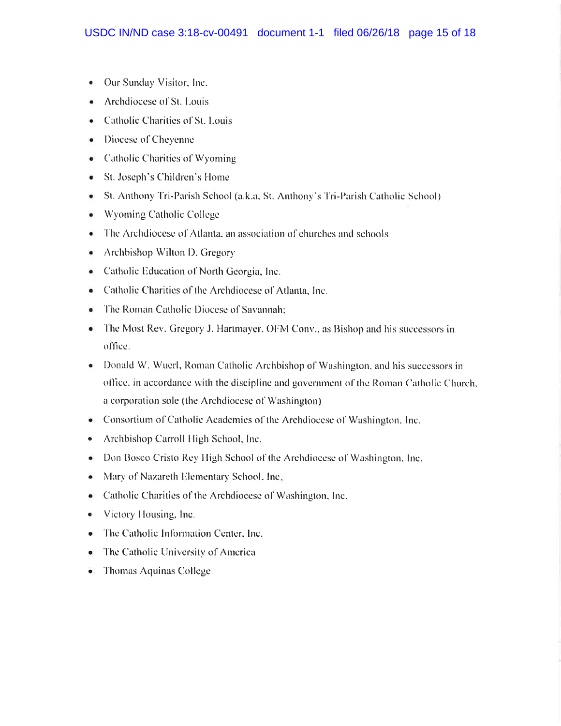- Our Sunday Visitor, Inc.  $\bullet$
- Archdiocese of St. Louis
- Catholic Charities of St. Louis
- Diocese of Cheyenne
- Catholic Charities of Wyoming
- St. Joseph's Children's Home
- St. Anthony Tri-Parish School (a.k.a. St. Anthony's Tri-Parish Catholic School)
- Wyoming Catholic College
- $\bullet$  The Archdiocese of Atlanta, an association of churches and schools
- Archbishop Wilton D. Gregory
- Catholic Education of North Georgia, Inc.
- Catholic Charities of the Archdiocese of Atlanta, Inc.
- $\bullet$  The Roman Catholic Diocese of Savannah:
- The Most Rev. Gregory J. Hartmayer, OFM Conv., as Bishop and his successors in office.
- Donald W. Wuerl, Roman Catholic Archbishop of Washington, and his successors in office, in accordance with the discipline and government of the Roman Catholic Church, a corporation sole (the Archdiocese of Washington)
- Consortium of Catholic Academies of the Archdiocese of Washington, Inc.
- Archbishop Carroll High School, Inc.  $\bullet$
- Don Bosco Cristo Rey High School of the Archdiocese of Washington, Inc.
- Mary of Nazareth Elementary School, Inc.  $\bullet$
- Catholic Charities of the Archdiocese of Washington, Inc.
- Victory Housing, Inc.
- The Catholic Information Center, Inc.
- $\bullet$  The Catholic University of America
- Thomas Aquinas College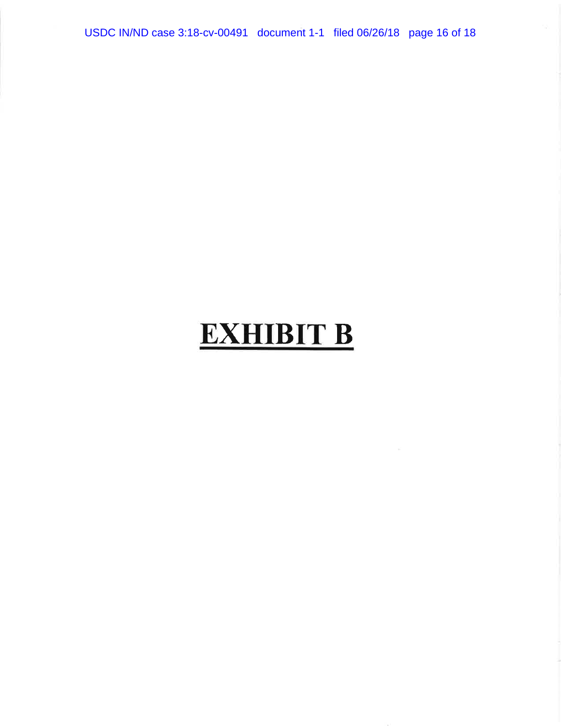USDC IN/ND case 3:18-cv-00491 document 1-1 filed 06/26/18 page 16 of 18

# **EXHIBIT B**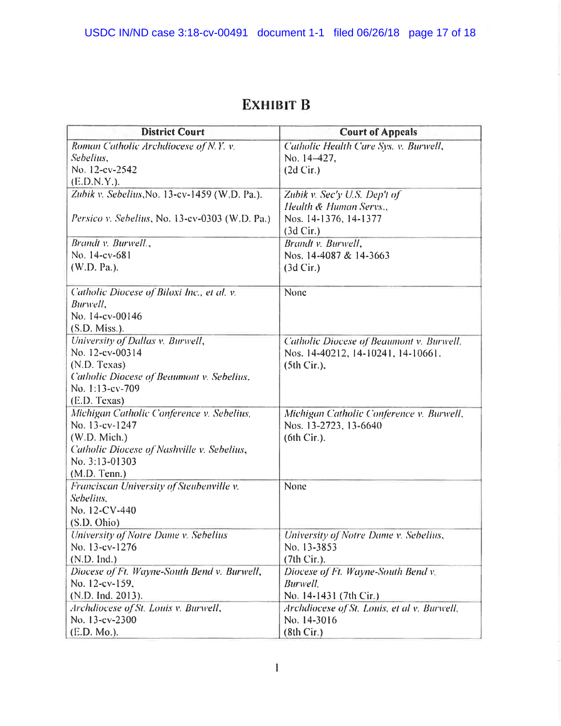### **EXHIBIT B**

| <b>District Court</b>                                 | <b>Court of Appeals</b>                     |
|-------------------------------------------------------|---------------------------------------------|
| Roman Catholic Archdiocese of N.Y. v.                 | Catholic Health Care Sys. v. Burwell,       |
| Sebelius.                                             | No. 14-427,                                 |
| No. 12-cv-2542                                        | $(2d$ Cir.)                                 |
| (E.D.N.Y.).                                           |                                             |
| Zubik v. Sebelius, No. 13-cv-1459 (W.D. Pa.).         | Zubik v. Sec'y U.S. Dep't of                |
|                                                       | Health & Human Servs.,                      |
| Persico v. Sebelius, No. 13-cv-0303 (W.D. Pa.)        | Nos. 14-1376, 14-1377                       |
|                                                       | $(3d$ Cir.)                                 |
| Brandt v. Burwell.,                                   | Brandt v. Burwell,                          |
| No. 14-cv-681                                         | Nos. 14-4087 & 14-3663                      |
| (W.D. Pa.).                                           | (3d Cir.)                                   |
|                                                       |                                             |
| Catholic Diocese of Biloxi Inc., et al. v.            | None                                        |
| Burwell,                                              |                                             |
| No. 14-cv-00146                                       |                                             |
| $(S.D. Miss.)$ .                                      |                                             |
| University of Dallas v. Burwell,                      | Catholic Diocese of Beaumont v. Burwell,    |
| No. 12-cv-00314                                       | Nos. 14-40212, 14-10241, 14-10661.          |
| (N.D. Texas)                                          | (5th Cir.),                                 |
| Catholic Diocese of Beaumont v. Sebelius,             |                                             |
| No. 1:13-cv-709                                       |                                             |
| (E.D. Texas)                                          |                                             |
| Michigan Catholic Conference v. Sebelius,             | Michigan Catholic Conference v. Burwell,    |
| No. 13-cv-1247                                        | Nos. 13-2723, 13-6640                       |
| (W.D. Mich.)                                          | (6th Cir.).                                 |
| Catholic Diocese of Nashville v. Sebelius,            |                                             |
| No. 3:13-01303                                        |                                             |
| (M.D. Tenn.)                                          | None                                        |
| Franciscan University of Steubenville v.<br>Sebelius, |                                             |
| No. 12-CV-440                                         |                                             |
| (S.D. Ohio)                                           |                                             |
| University of Notre Dame v. Sebelius                  | University of Notre Dame v. Sebelius,       |
| No. 13-cv-1276                                        | No. 13-3853                                 |
| (N.D. Ind.)                                           | $(7th Cir.)$ .                              |
| Diocese of Ft. Wayne-South Bend v. Burwell,           | Diocese of Ft. Wayne-South Bend v.          |
| No. 12-cv-159.                                        | <b>Burwell</b> .                            |
| (N.D. Ind. 2013).                                     | No. 14-1431 (7th Cir.)                      |
| Archdiocese of St. Louis v. Burwell,                  | Archdiocese of St. Louis, et al v. Burwell, |
| No. 13-cv-2300                                        | No. 14-3016                                 |
| (E.D. Mo.).                                           | (8th Cir.)                                  |